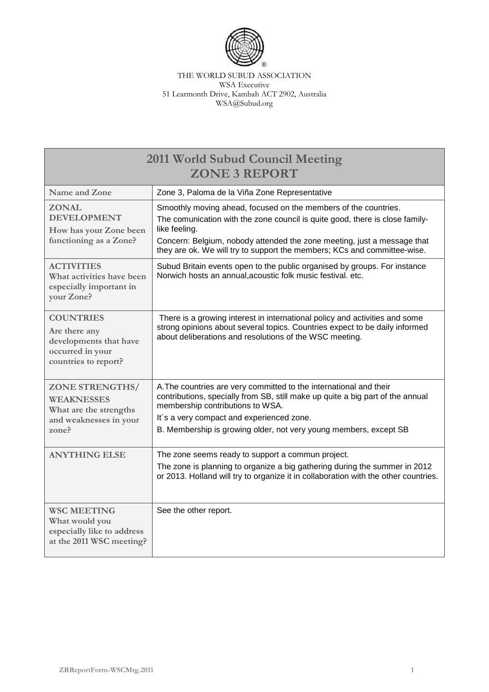

THE WORLD SUBUD ASSOCIATION WSA Executive 51 Learmonth Drive, Kambah ACT 2902, Australia WSA@Subud.org

| 2011 World Subud Council Meeting<br><b>ZONE 3 REPORT</b>                                                |                                                                                                                                                                                                                                                                                                                         |  |
|---------------------------------------------------------------------------------------------------------|-------------------------------------------------------------------------------------------------------------------------------------------------------------------------------------------------------------------------------------------------------------------------------------------------------------------------|--|
| Name and Zone                                                                                           | Zone 3, Paloma de la Viña Zone Representative                                                                                                                                                                                                                                                                           |  |
| <b>ZONAL</b><br><b>DEVELOPMENT</b><br>How has your Zone been<br>functioning as a Zone?                  | Smoothly moving ahead, focused on the members of the countries.<br>The comunication with the zone council is quite good, there is close family-<br>like feeling.<br>Concern: Belgium, nobody attended the zone meeting, just a message that<br>they are ok. We will try to support the members; KCs and committee-wise. |  |
| <b>ACTIVITIES</b><br>What activities have been<br>especially important in<br>your Zone?                 | Subud Britain events open to the public organised by groups. For instance<br>Norwich hosts an annual, acoustic folk music festival. etc.                                                                                                                                                                                |  |
| <b>COUNTRIES</b><br>Are there any<br>developments that have<br>occurred in your<br>countries to report? | There is a growing interest in international policy and activities and some<br>strong opinions about several topics. Countries expect to be daily informed<br>about deliberations and resolutions of the WSC meeting.                                                                                                   |  |
| <b>ZONE STRENGTHS/</b><br>WEAKNESSES<br>What are the strengths<br>and weaknesses in your<br>zone?       | A. The countries are very committed to the international and their<br>contributions, specially from SB, still make up quite a big part of the annual<br>membership contributions to WSA.<br>It's a very compact and experienced zone.<br>B. Membership is growing older, not very young members, except SB              |  |
| <b>ANYTHING ELSE</b>                                                                                    | The zone seems ready to support a commun project.<br>The zone is planning to organize a big gathering during the summer in 2012<br>or 2013. Holland will try to organize it in collaboration with the other countries.                                                                                                  |  |
| <b>WSC MEETING</b><br>What would you<br>especially like to address<br>at the 2011 WSC meeting?          | See the other report.                                                                                                                                                                                                                                                                                                   |  |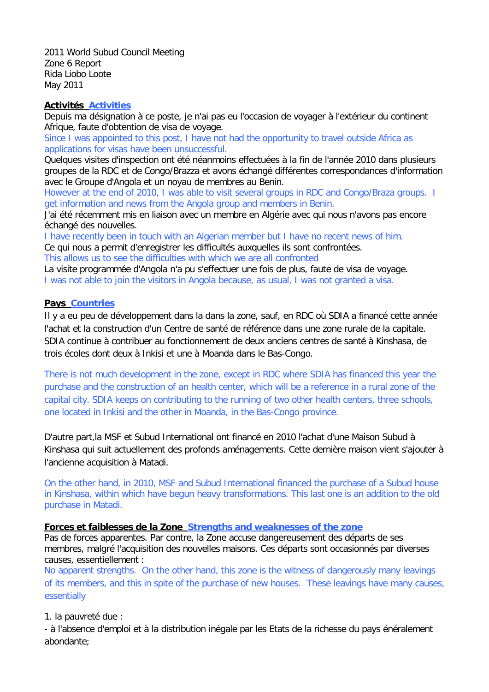2011 World Subud Council Meeting Zone 6 Report Rida Liobo Loote May 2011

## **Activités Activities**

Depuis ma désignation à ce poste, je n'ai pas eu l'occasion de voyager à l'extérieur du continent Afrique, faute d'obtention de visa de voyage.

Since I was appointed to this post, I have not had the opportunity to travel outside Africa as applications for visas have been unsuccessful.

Quelques visites d'inspection ont été néanmoins effectuées à la fin de l'année 2010 dans plusieurs groupes de la RDC et de Congo/Brazza et avons échangé différentes correspondances d'information avec le Groupe d'Angola et un noyau de membres au Benin.

However at the end of 2010, I was able to visit several groups in RDC and Congo/Braza groups. I get information and news from the Angola group and members in Benin.

J'ai été récemment mis en liaison avec un membre en Algérie avec qui nous n'avons pas encore échangé des nouvelles.

I have recently been in touch with an Algerian member but I have no recent news of him.

Ce qui nous a permit d'enregistrer les difficultés auxquelles ils sont confrontées.

This allows us to see the difficulties with which we are all confronted

La visite programmée d'Angola n'a pu s'effectuer une fois de plus, faute de visa de voyage. I was not able to join the visitors in Angola because, as usual, I was not granted a visa.

## **Pays Countries**

Il y a eu peu de développement dans la dans la zone, sauf, en RDC où SDIA a financé cette année l'achat et la construction d'un Centre de santé de référence dans une zone rurale de la capitale. SDIA continue à contribuer au fonctionnement de deux anciens centres de santé à Kinshasa, de trois écoles dont deux à Inkisi et une à Moanda dans le Bas-Congo.

There is not much development in the zone, except in RDC where SDIA has financed this year the purchase and the construction of an health center, which will be a reference in a rural zone of the capital city. SDIA keeps on contributing to the running of two other health centers, three schools, one located in Inkisi and the other in Moanda, in the Bas-Congo province.

D'autre part,la MSF et Subud International ont financé en 2010 l'achat d'une Maison Subud à Kinshasa qui suit actuellement des profonds aménagements. Cette dernière maison vient s'ajouter à l'ancienne acquisition à Matadi.

On the other hand, in 2010, MSF and Subud International financed the purchase of a Subud house in Kinshasa, within which have begun heavy transformations. This last one is an addition to the old purchase in Matadi.

## **Forces et faiblesses de la Zone Strengths and weaknesses of the zone**

Pas de forces apparentes. Par contre, la Zone accuse dangereusement des départs de ses membres, malgré l'acquisition des nouvelles maisons. Ces départs sont occasionnés par diverses causes, essentiellement :

No apparent strengths. On the other hand, this zone is the witness of dangerously many leavings of its members, and this in spite of the purchase of new houses. These leavings have many causes, essentially

1. la pauvreté due :

- à l'absence d'emploi et à la distribution inégale par les Etats de la richesse du pays énéralement abondante;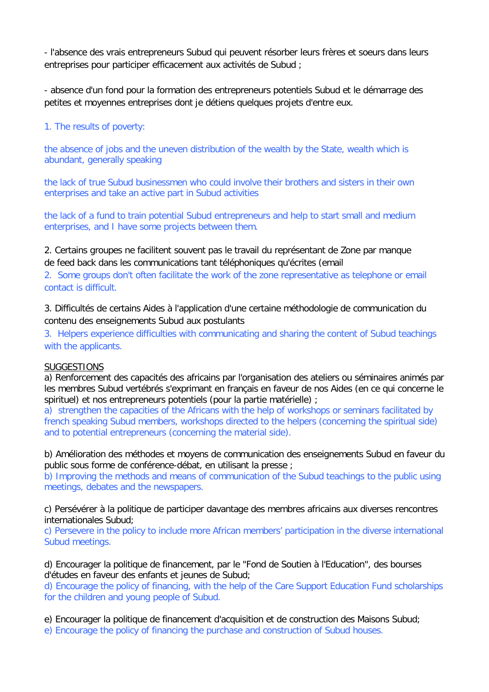- l'absence des vrais entrepreneurs Subud qui peuvent résorber leurs frères et soeurs dans leurs entreprises pour participer efficacement aux activités de Subud ;

- absence d'un fond pour la formation des entrepreneurs potentiels Subud et le démarrage des petites et moyennes entreprises dont je détiens quelques projets d'entre eux.

1. The results of poverty:

the absence of jobs and the uneven distribution of the wealth by the State, wealth which is abundant, generally speaking

the lack of true Subud businessmen who could involve their brothers and sisters in their own enterprises and take an active part in Subud activities

the lack of a fund to train potential Subud entrepreneurs and help to start small and medium enterprises, and I have some projects between them.

2. Certains groupes ne facilitent souvent pas le travail du représentant de Zone par manque de feed back dans les communications tant téléphoniques qu'écrites (email

2. Some groups don't often facilitate the work of the zone representative as telephone or email contact is difficult.

3. Difficultés de certains Aides à l'application d'une certaine méthodologie de communication du contenu des enseignements Subud aux postulants

3. Helpers experience difficulties with communicating and sharing the content of Subud teachings with the applicants.

## **SUGGESTIONS**

a) Renforcement des capacités des africains par l'organisation des ateliers ou séminaires animés par les membres Subud vertébrés s'exprimant en français en faveur de nos Aides (en ce qui concerne le spirituel) et nos entrepreneurs potentiels (pour la partie matérielle) ;

a) strengthen the capacities of the Africans with the help of workshops or seminars facilitated by french speaking Subud members, workshops directed to the helpers (concerning the spiritual side) and to potential entrepreneurs (concerning the material side).

b) Amélioration des méthodes et moyens de communication des enseignements Subud en faveur du public sous forme de conférence-débat, en utilisant la presse ;

b) Improving the methods and means of communication of the Subud teachings to the public using meetings, debates and the newspapers.

c) Persévérer à la politique de participer davantage des membres africains aux diverses rencontres internationales Subud;

c) Persevere in the policy to include more African members' participation in the diverse international Subud meetings.

d) Encourager la politique de financement, par le "Fond de Soutien à l'Education", des bourses d'études en faveur des enfants et jeunes de Subud;

d) Encourage the policy of financing, with the help of the Care Support Education Fund scholarships for the children and young people of Subud.

e) Encourager la politique de financement d'acquisition et de construction des Maisons Subud;

e) Encourage the policy of financing the purchase and construction of Subud houses.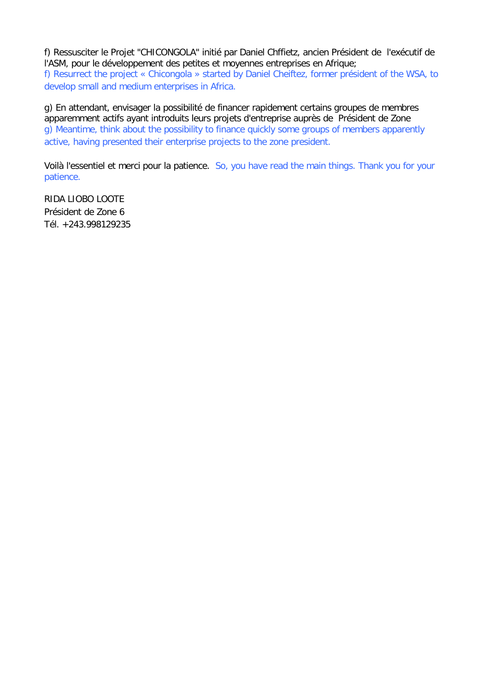f) Ressusciter le Projet "CHICONGOLA" initié par Daniel Chffietz, ancien Président de l'exécutif de l'ASM, pour le développement des petites et moyennes entreprises en Afrique; f) Resurrect the project « Chicongola » started by Daniel Cheiftez, former président of the WSA, to develop small and medium enterprises in Africa.

g) En attendant, envisager la possibilité de financer rapidement certains groupes de membres apparemment actifs ayant introduits leurs projets d'entreprise auprès de Président de Zone g) Meantime, think about the possibility to finance quickly some groups of members apparently active, having presented their enterprise projects to the zone president.

Voilà l'essentiel et merci pour la patience. So, you have read the main things. Thank you for your patience.

RIDA LIOBO LOOTE Président de Zone 6 Tél. +243.998129235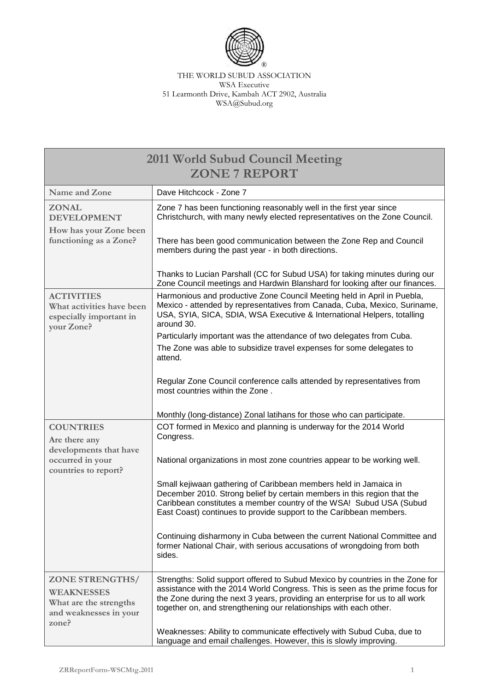

THE WORLD SUBUD ASSOCIATION WSA Executive 51 Learmonth Drive, Kambah ACT 2902, Australia WSA@Subud.org

| <b>2011 World Subud Council Meeting</b><br><b>ZONE 7 REPORT</b>                                          |                                                                                                                                                                                                                                                                                                                    |  |
|----------------------------------------------------------------------------------------------------------|--------------------------------------------------------------------------------------------------------------------------------------------------------------------------------------------------------------------------------------------------------------------------------------------------------------------|--|
| Name and Zone                                                                                            | Dave Hitchcock - Zone 7                                                                                                                                                                                                                                                                                            |  |
| <b>ZONAL</b><br><b>DEVELOPMENT</b>                                                                       | Zone 7 has been functioning reasonably well in the first year since<br>Christchurch, with many newly elected representatives on the Zone Council.                                                                                                                                                                  |  |
| How has your Zone been<br>functioning as a Zone?                                                         | There has been good communication between the Zone Rep and Council<br>members during the past year - in both directions.                                                                                                                                                                                           |  |
|                                                                                                          | Thanks to Lucian Parshall (CC for Subud USA) for taking minutes during our<br>Zone Council meetings and Hardwin Blanshard for looking after our finances.                                                                                                                                                          |  |
| <b>ACTIVITIES</b><br>What activities have been<br>especially important in<br>your Zone?                  | Harmonious and productive Zone Council Meeting held in April in Puebla,<br>Mexico - attended by representatives from Canada, Cuba, Mexico, Suriname,<br>USA, SYIA, SICA, SDIA, WSA Executive & International Helpers, totalling<br>around 30.                                                                      |  |
|                                                                                                          | Particularly important was the attendance of two delegates from Cuba.<br>The Zone was able to subsidize travel expenses for some delegates to<br>attend.                                                                                                                                                           |  |
|                                                                                                          | Regular Zone Council conference calls attended by representatives from<br>most countries within the Zone.                                                                                                                                                                                                          |  |
|                                                                                                          | Monthly (long-distance) Zonal latihans for those who can participate.                                                                                                                                                                                                                                              |  |
| <b>COUNTRIES</b><br>Are there any<br>developments that have                                              | COT formed in Mexico and planning is underway for the 2014 World<br>Congress.                                                                                                                                                                                                                                      |  |
| occurred in your<br>countries to report?                                                                 | National organizations in most zone countries appear to be working well.                                                                                                                                                                                                                                           |  |
|                                                                                                          | Small kejiwaan gathering of Caribbean members held in Jamaica in<br>December 2010. Strong belief by certain members in this region that the<br>Caribbean constitutes a member country of the WSA! Subud USA (Subud<br>East Coast) continues to provide support to the Caribbean members.                           |  |
|                                                                                                          | Continuing disharmony in Cuba between the current National Committee and<br>former National Chair, with serious accusations of wrongdoing from both<br>sides.                                                                                                                                                      |  |
| <b>ZONE STRENGTHS/</b><br><b>WEAKNESSES</b><br>What are the strengths<br>and weaknesses in your<br>zone? | Strengths: Solid support offered to Subud Mexico by countries in the Zone for<br>assistance with the 2014 World Congress. This is seen as the prime focus for<br>the Zone during the next 3 years, providing an enterprise for us to all work<br>together on, and strengthening our relationships with each other. |  |
|                                                                                                          | Weaknesses: Ability to communicate effectively with Subud Cuba, due to<br>language and email challenges. However, this is slowly improving.                                                                                                                                                                        |  |